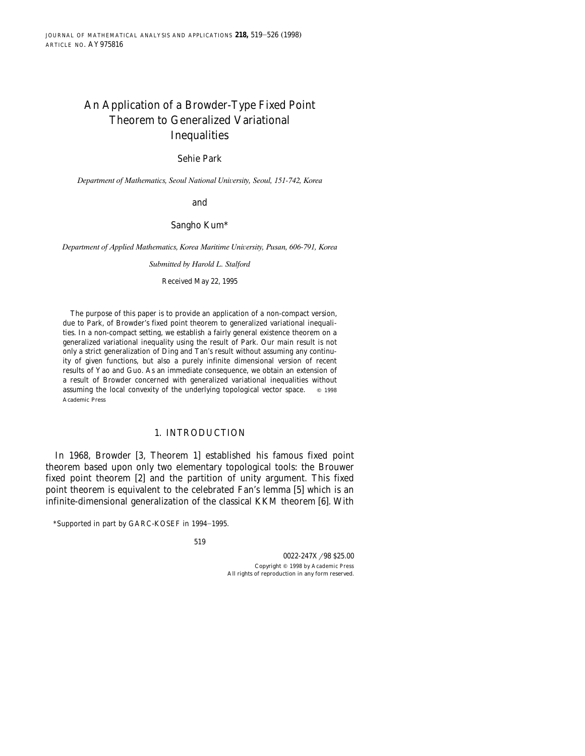# An Application of a Browder-Type Fixed Point Theorem to Generalized Variational Inequalities

# Sehie Park

*Department of Mathematics, Seoul National Uni*¨*ersity, Seoul, 151-742, Korea*

and

Sangho Kum\*

*Department of Applied Mathematics, Korea Maritime Uni*¨*ersity, Pusan, 606-791, Korea*

*Submitted by Harold L. Stalford*

Received May 22, 1995

The purpose of this paper is to provide an application of a non-compact version, due to Park, of Browder's fixed point theorem to generalized variational inequalities. In a non-compact setting, we establish a fairly general existence theorem on a generalized variational inequality using the result of Park. Our main result is not only a strict generalization of Ding and Tan's result without assuming any continuity of given functions, but also a purely infinite dimensional version of recent results of Yao and Guo. As an immediate consequence, we obtain an extension of a result of Browder concerned with generalized variational inequalities without assuming the local convexity of the underlying topological vector space.  $\circ$  1998 Academic Press

# 1. INTRODUCTION

In 1968, Browder [3, Theorem 1] established his famous fixed point theorem based upon only two elementary topological tools: the Brouwer fixed point theorem [2] and the partition of unity argument. This fixed point theorem is equivalent to the celebrated Fan's lemma [5] which is an infinite-dimensional generalization of the classical KKM theorem [6]. With

<sup>\*</sup>Supported in part by GARC-KOSEF in 1994-1995.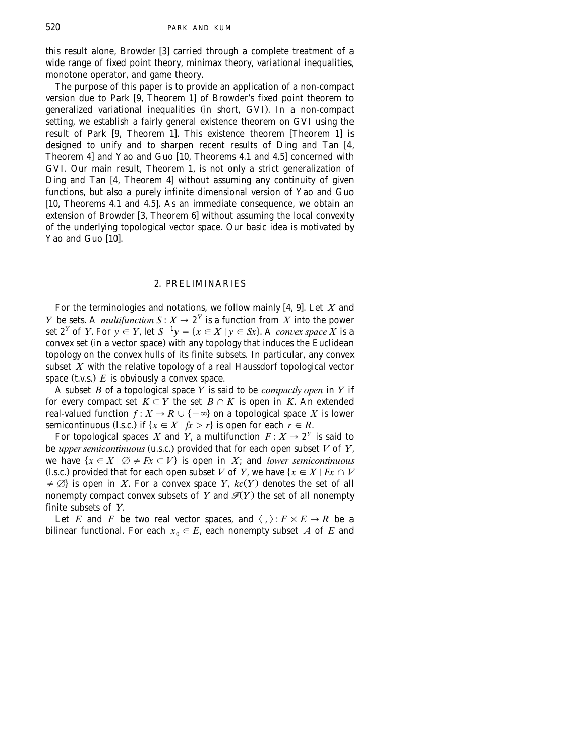this result alone, Browder [3] carried through a complete treatment of a wide range of fixed point theory, minimax theory, variational inequalities, monotone operator, and game theory.

The purpose of this paper is to provide an application of a non-compact version due to Park  $\left[9, 1\right]$  Theorem 1 of Browder's fixed point theorem to generalized variational inequalities (in short, GVI). In a non-compact setting, we establish a fairly general existence theorem on GVI using the result of Park [9, Theorem 1]. This existence theorem [Theorem 1] is designed to unify and to sharpen recent results of Ding and Tan [4, [Theorem 4](#page-7-0)] and Yao and Guo  $\overline{10}$ , Theorems 4.1 and 4.5] concerned with GVI. Our main result, Theorem 1, is not only a strict generalization of Ding and Tan [4, Theorem 4] without assuming any continuity of given functions, but also a purely infinite dimensional version of Yao and Guo [10, Theorems 4.1 and 4.5]. As an immediate consequence, we obtain an extension of Browder [3, Theorem 6] without assuming the local convexity of the underlying topological vector space. Our basic idea is motivated by Yao and  $G$ uo  $[10]$ .

## 2. PRELIMINARIES

For the terminologies and notations, we follow mainly [4, 9]. Let X and *Y* be sets. A *multifunction*  $S: X \to 2^Y$  is a function from *X* into the power *x* set  $2^Y$  of *Y*. For  $y \in Y$ , let  $S^{-1}y = \{x \in X \mid y \in Sx\}$ . A *convex space* X is a convex set (in a vector space) with any topology that induces the Euclidean topology on the convex hulls of its finite subsets. In particular, any convex subset *X* with the relative topology of a real Haussdorf topological vector space  $(t.v.s.)\mathrel{E}$  is obviously a convex space.

A subset *B* of a topological space *Y* is said to be *compactly open* in *Y* if for every compact set  $K \subset Y$  the set  $B \cap K$  is open in *K*. An extended real-valued function  $f: X \to R \cup \{+\infty\}$  on a topological space  $X$  is lower semicontinuous (l.s.c.) if  $\{x \in X \mid fx > r\}$  is open for each  $r \in R$ .

For topological spaces *X* and *Y*, a multifunction  $F: X \to 2^Y$  is said to be *upper semicontinuous* (u.s.c.) provided that for each open subset  $V$  of  $Y$ , we have  $\{x \in X \mid \emptyset \neq Fx \subset V\}$  is open in *X*; and *lower semicontinuous* (l.s.c.) provided that for each open subset *V* of *Y*, we have  $\{x \in X \mid Fx \cap V\}$  $\neq \emptyset$  is open in *X*. For a convex space *Y*,  $kc(Y)$  denotes the set of all nonempty compact convex subsets of  $Y$  and  $\mathscr{T}(Y)$  the set of all nonempty finite subsets of *Y*.

Let *E* and *F* be two real vector spaces, and  $\langle , \rangle : F \times E \to R$  be a bilinear functional. For each  $x_0 \in E$ , each nonempty subset *A* of *E* and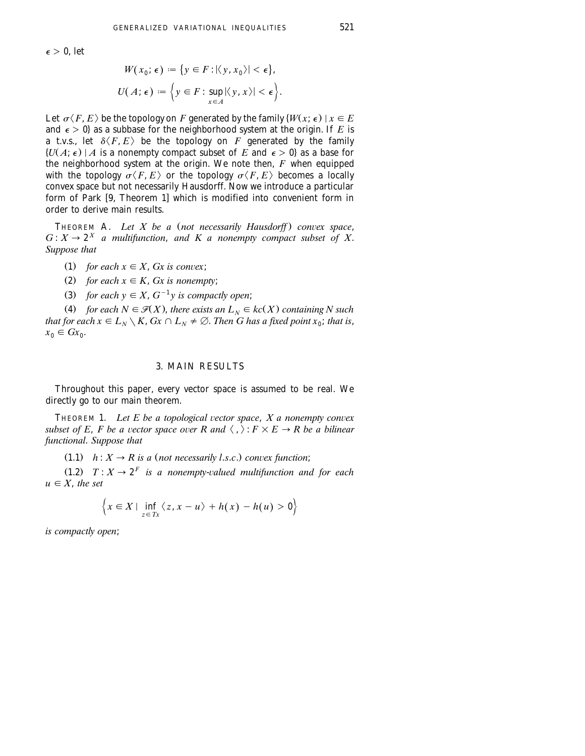$\epsilon > 0$ , let

$$
W(x_0; \epsilon) := \{ y \in F : |\langle y, x_0 \rangle| < \epsilon \},
$$
\n
$$
U(A; \epsilon) := \left\{ y \in F : \sup_{x \in A} |\langle y, x \rangle| < \epsilon \right\}.
$$

Let  $\sigma \langle F, E \rangle$  be the topology on *F* generated by the family  $\{W(x; \epsilon) \mid x \in E\}$ and  $\epsilon > 0$  as a subbase for the neighborhood system at the origin. If E is a t.v.s., let  $\delta\langle F, E\rangle$  be the topology on  $F$  generated by the family  $\{U(A; \epsilon) | A$  is a nonempty compact subset of *E* and  $\epsilon > 0$  as a base for the neighborhood system at the origin. We note then, *F* when equipped with the topology  $\sigma \langle F, E \rangle$  or the topology  $\sigma \langle F, E \rangle$  becomes a locally convex space but not necessarily Hausdorff. Now we introduce a particular form of Park  $[9,$  Theorem 1] which is modified into convenient form in order to derive main results.

THEOREM A. *Let X be a (not necessarily Hausdorff) convex space*,  $G: X \to 2^X$  *a multifunction, and K a nonempty compact subset of X. Suppose that*

- (1) for each  $x \in X$ , *Gx is convex*;
- (2) for each  $x \in K$ , *Gx is nonempty*;
- (3) for each  $y \in X$ ,  $G^{-1}y$  is compactly open;

(4) for each  $N \in \mathcal{F}(X)$ , there exists an  $L_N \in kc(X)$  containing N such *that for each*  $x \in L_N \setminus K$ ,  $Gx \cap L_N \neq \emptyset$ . *Then G has a fixed point*  $x_0$ *; that is,*  $x_0 \in Gx_0$ .

### 3. MAIN RESULTS

Throughout this paper, every vector space is assumed to be real. We directly go to our main theorem.

THEOREM 1. Let  $E$  be a topological vector space,  $X$  a nonempty convex *subset of E, F be a vector space over R and*  $\langle , \rangle : F \times E \to R$  *be a bilinear functional*. *Suppose that*

 $(1.1)$  *h* :  $X \rightarrow R$  *is a (not necessarily l.s.c.) convex function*;

 $T : X \to 2^F$  *is a nonempty-valued multifunction and for each*  $u \in X$ *, the set* 

$$
\left\{x \in X \mid \inf_{z \in Tx} \langle z, x - u \rangle + h(x) - h(u) > 0\right\}
$$

*is compactly open*;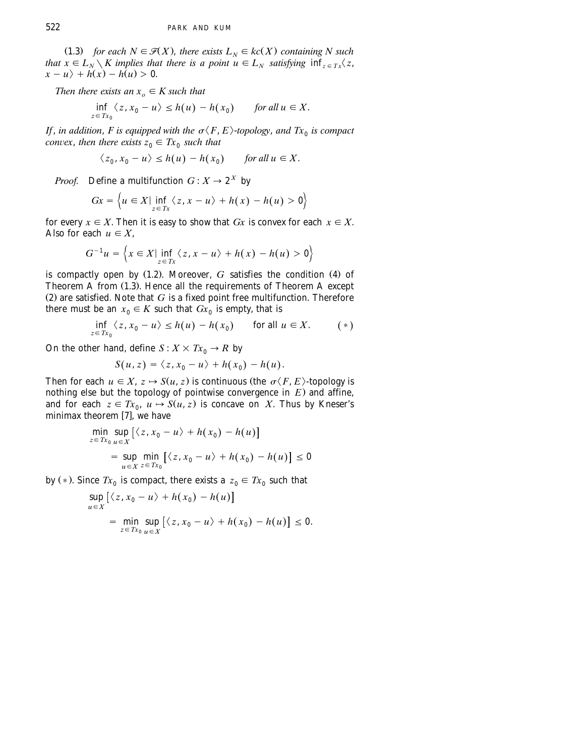(1.3) *for each*  $N \in \mathcal{F}(X)$ *, there exists*  $L_N \in kc(X)$  *containing* N such *that*  $x \in L_N \setminus K$  *implies that there is a point*  $u \in L_N$  *satisfying*  $\inf_{z \in Tx} \langle z, z \rangle$  $x - u$   $\rightarrow h(x) - h(u) > 0.$ 

*Then there exists an*  $x<sub>o</sub> \in K$  *such that* 

$$
\inf_{z \in Tx_0} \langle z, x_0 - u \rangle \le h(u) - h(x_0) \quad \text{for all } u \in X.
$$

*If*, *in addition*, *F is equipped with the*  $\sigma \langle F, E \rangle$ -*topology*, *and*  $Tx_0$  *is compact convex, then there exists*  $z_0 \n\t\in Tx_0$  *such that* 

 $\langle z_0, x_0 - u \rangle \leq h(u) - h(x_0)$  for all  $u \in X$ .

*Proof.* Define a multifunction  $G: X \rightarrow 2^X$  by

$$
Gx = \left\{ u \in X \vert \inf_{z \in Tx} \langle z, x - u \rangle + h(x) - h(u) > 0 \right\}
$$

for every  $x \in X$ . Then it is easy to show that *Gx* is convex for each  $x \in X$ . Also for each  $u \in X$ ,

$$
G^{-1}u = \left\{ x \in X \mid \inf_{z \in Tx} \left\langle z, x - u \right\rangle + h(x) - h(u) > 0 \right\}
$$

is compactly open by  $(1.2)$ . Moreover,  $G$  satisfies the condition  $(4)$  of Theorem  $A$  from  $(1.3)$ . Hence all the requirements of Theorem  $A$  except  $(2)$  are satisfied. Note that  $G$  is a fixed point free multifunction. Therefore there must be an  $x_0 \in K$  such that  $Gx_0$  is empty, that is

$$
\inf_{z \in Tx_0} \langle z, x_0 - u \rangle \le h(u) - h(x_0) \quad \text{for all } u \in X. \quad (*)
$$

On the other hand, define  $S: X \times Tx_0 \rightarrow R$  by

$$
S(u,z) = \langle z, x_0 - u \rangle + h(x_0) - h(u).
$$

Then for each  $u \in X$ ,  $z \mapsto S(u, z)$  is continuous (the  $\sigma \langle F, E \rangle$ -topology is nothing else but the topology of pointwise convergence in  $E$ ) and affine, and for each  $z \in Tx_0$ ,  $u \mapsto S(u, z)$  is concave on *X*. Thus by Kneser's minimax theorem  $[7]$ , we have

$$
\min_{z \in Tx_0} \sup_{u \in X} \left[ \langle z, x_0 - u \rangle + h(x_0) - h(u) \right]
$$
\n
$$
= \sup_{u \in X} \min_{z \in Tx_0} \left[ \langle z, x_0 - u \rangle + h(x_0) - h(u) \right] \le 0
$$

by (\*). Since  $Tx_0$  is compact, there exists a  $z_0 \in Tx_0$  such that

$$
\sup_{u \in X} \left[ \langle z, x_0 - u \rangle + h(x_0) - h(u) \right]
$$
  
= 
$$
\min_{z \in Tx_0} \sup_{u \in X} \left[ \langle z, x_0 - u \rangle + h(x_0) - h(u) \right] \le 0.
$$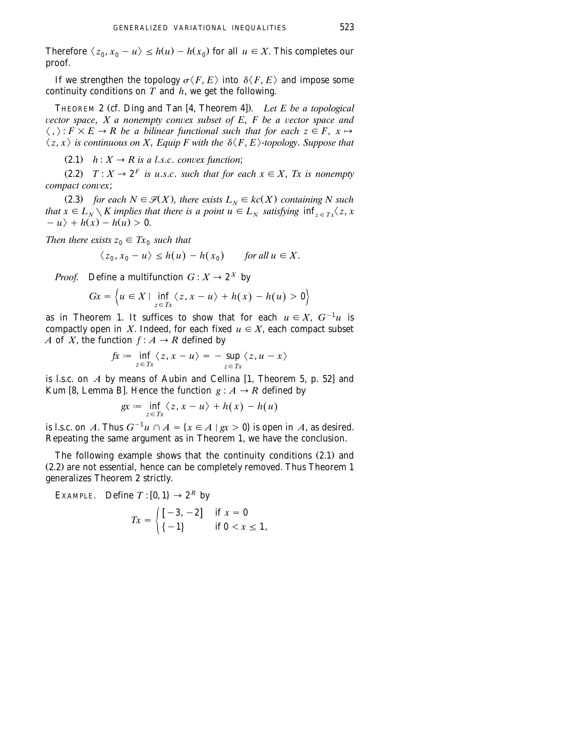Therefore  $\langle z_0, x_0 - u \rangle \leq h(u) - h(x_0)$  for all  $u \in X$ . This completes our proof.

If we strengthen the topology  $\sigma \langle F, E \rangle$  into  $\delta \langle F, E \rangle$  and impose some continuity conditions on  $\overline{T}$  and  $\overline{h}$ , we get the following.

THEOREM 2 (cf. Ding and Tan [4, Theorem 4]). Let E be a topological *vector space, X a nonempty convex subset of E, F be a vector space and*  $\langle , \rangle : F \times E \to R$  be a bilinear functional such that for each  $z \in F$ ,  $x \mapsto$  $\langle z, x \rangle$  is continuous on X, Equip F with the  $\delta \langle F, E \rangle$ -topology. Suppose that

 $(2.1)$  *h* :  $X \rightarrow R$  *is a l.s.c. convex function*;

 $T: X \to 2^F$  *is u.s.c. such that for each*  $x \in X$ , *Tx is nonempty compact convex*;

(2.3) *for each*  $N \in \mathcal{F}(X)$ *, there exists*  $L_N \in kc(X)$  *containing* N such *that*  $x \in L_N \setminus K$  *implies that there is a point*  $u \in L_N$  *satisfying*  $\inf_{z \in Tx} \langle z, x \rangle$  $-u$   $+ h(x) - h(u) > 0.$ 

*Then there exists*  $z_0 \in Tx_0$  *such that* 

$$
\langle z_0, x_0 - u \rangle \le h(u) - h(x_0) \quad \text{for all } u \in X.
$$

*Proof.* Define a multifunction  $G: X \rightarrow 2^X$  by

$$
Gx = \left\{ u \in X \mid \inf_{z \in Tx} \left\langle z, x - u \right\rangle + h(x) - h(u) > 0 \right\}
$$

as in Theorem 1. It suffices to show that for each  $u \in X$ ,  $G^{-1}u$  is compactly open in *X*. Indeed, for each fixed  $u \in X$ , each compact subset *A* of *X*, the function  $f: A \rightarrow R$  defined by

$$
fx := \inf_{z \in Tx} \langle z, x - u \rangle = - \sup_{z \in Tx} \langle z, u - x \rangle
$$

is l.s.c. on  $A$  by means of Aubin and Cellina  $[1,$  Theorem 5, p. 52 and Kum [8, Lemma B]. Hence the function  $g : A \rightarrow R$  defined by

$$
gx := \inf_{z \in Tx} \langle z, x - u \rangle + h(x) - h(u)
$$

is l.s.c. on *A*. Thus  $G^{-1}u \cap A = \{x \in A \mid gx > 0\}$  is open in *A*, as desired. Repeating the same argument as in Theorem 1, we have the conclusion.

The following example shows that the continuity conditions  $(2.1)$  and  $(2.2)$  are not essential, hence can be completely removed. Thus Theorem 1 generalizes Theorem 2 strictly.

EXAMPLE. Define  $T : [0, 1] \rightarrow 2^R$  by

$$
Tx = \begin{cases} [-3, -2] & \text{if } x = 0 \\ \{-1\} & \text{if } 0 < x \le 1, \end{cases}
$$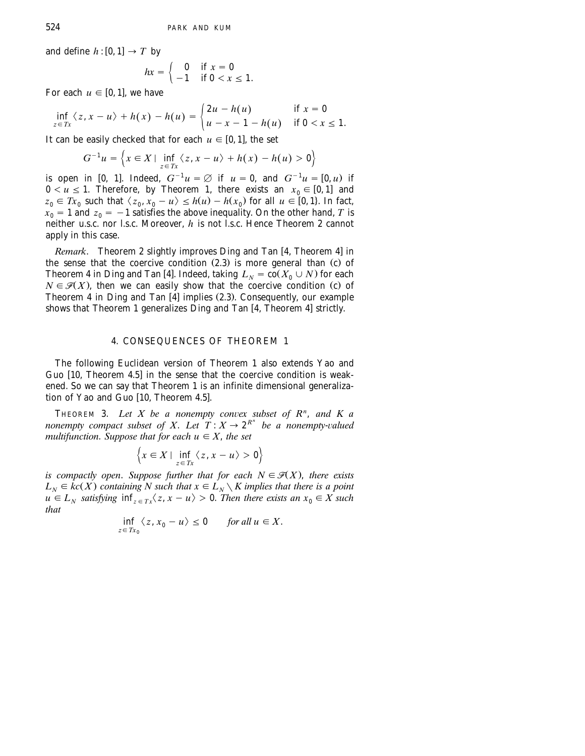and define  $h:[0,1] \rightarrow T$  by

$$
hx = \begin{cases} 0 & \text{if } x = 0 \\ -1 & \text{if } 0 < x \leq 1. \end{cases}
$$

For each  $u \in [0, 1]$ , we have

$$
\inf_{z \in Tx} \langle z, x - u \rangle + h(x) - h(u) = \begin{cases} 2u - h(u) & \text{if } x = 0 \\ u - x - 1 - h(u) & \text{if } 0 < x \le 1. \end{cases}
$$

It can be easily checked that for each  $u \in [0, 1]$ , the set

$$
G^{-1}u = \left\{ x \in X \mid \inf_{z \in Tx} \langle z, x - u \rangle + h(x) - h(u) > 0 \right\}
$$

is open in [0, 1]. Indeed,  $G^{-1}u = \emptyset$  if  $u = 0$ , and  $G^{-1}u = [0, u)$  if  $0 < u \le 1$ . Therefore, by Theorem 1, there exists an  $x_0 \in [0, 1]$  and  $z_0 \in Tx_0$  such that  $\langle z_0, x_0 - u \rangle \le h(u) - h(x_0)$  for all  $u \in [0, 1]$ . In fact,  $x_0 = 1$  and  $z_0 = -1$  satisfies the above inequality. On the other hand, *T* is neither u.s.c. nor l.s.c. Moreover, *h* is not l.s.c. Hence Theorem 2 cannot apply in this case.

*Remark*. Theorem 2 slightly improves Ding and Tan [4, Theorem 4] in the sense that the coercive condition  $(2.3)$  is more general than  $(c)$  of Theorem 4 in Ding and Tan [4]. Indeed, taking  $L_N = \overline{\text{co}}(X_0 \cup N)$  for each  $N \in \mathcal{F}(X)$ , then we can easily show that the coercive condition (c) of Theorem [4](#page-7-0) in Ding and Tan  $[4]$  implies (2.3). Consequently, our example shows that Theorem 1 generalizes Ding and Tan  $[4,$  Theorem 4 $]$  strictly.

#### 4. CONSEQUENCES OF THEOREM 1

The following Euclidean version of Theorem 1 also extends Yao and Guo [10, Theorem 4.5] in the sense that the coercive condition is weakened. So we can say that Theorem 1 is an infinite dimensional generalization of Yao and Guo  $[10,$  Theorem 4.5].

THEOREM 3. Let  $X$  be a nonempty convex subset of  $R^n$ , and  $K$  a *nonempty compact subset of X. Let*  $T: X \to 2^{R^n}$  *be a nonempty-valued multifunction. Suppose that for each*  $u \in X$ *, the set* 

$$
\left\{x \in X \mid \inf_{z \in Tx} \left\langle z, x - u \right\rangle > 0\right\}
$$

*is compactly open. Suppose further that for each*  $N \in \mathcal{F}(X)$ , *there exists*  $L_N \in kc(X)$  containing N such that  $x \in L_N \setminus K$  implies that there is a point  $u \in L_N$  satisfying  $\inf_{z \in Tx} \langle z, x - u \rangle > 0$ . Then there exists an  $x_0 \in X$  such *that*

$$
\inf_{z \in Tx_0} \langle z, x_0 - u \rangle \le 0 \quad \text{for all } u \in X.
$$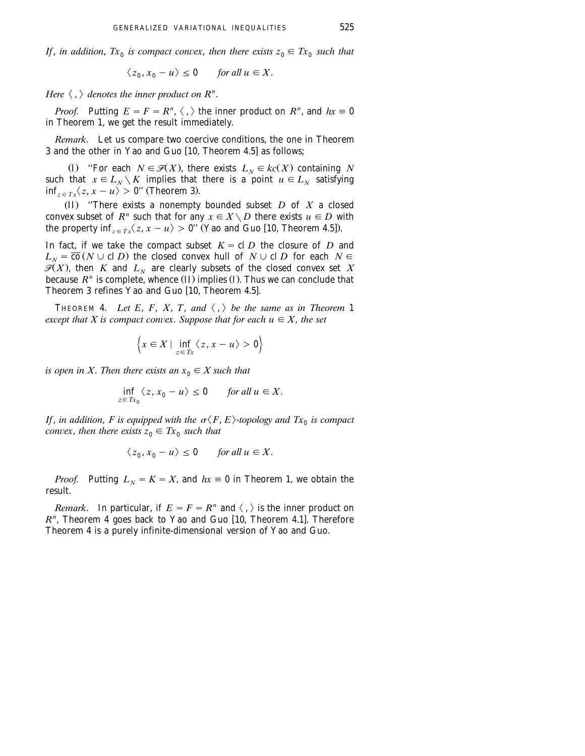*If*, *in addition*,  $Tx_0$  *is compact convex, then there exists*  $z_0 \in Tx_0$  *such that* 

$$
\langle z_0, x_0 - u \rangle \le 0 \quad \text{for all } u \in X.
$$

Here  $\langle , \rangle$  denotes the inner product on  $R^n$ .

*Proof.* Putting  $E = F = R^n$ ,  $\langle , \rangle$  the inner product on  $R^n$ , and  $hx \equiv 0$ in Theorem 1, we get the result immediately.

*Remark*. Let us compare two coercive conditions, the one in Theorem 3 and the other in Yao and Guo [10, Theorem 4.5] as follows;

(I) "For each  $N \in \mathcal{F}(X)$ , there exists  $L_N \in kc(X)$  containing *N* such that  $x \in L_N \setminus K$  implies that there is a point  $u \in L_N$  satisfying  $\inf_{z \in T_x} \langle z, x - u \rangle > 0$ " (Theorem 3).

(II) "There exists a nonempty bounded subset  $D$  of  $X$  a closed convex subset of  $R^n$  such that for any  $x \in X \setminus D$  there exists  $u \in D$  with the property inf<sub> $z \in Tx$ </sub> $\langle z, x - u \rangle > 0$ " (Yao and Guo [10, Theorem 4.5]).

In fact, if we take the compact subset  $K = \text{cl } D$  the closure of *D* and  $L_N = \overline{co} (N \cup cl D)$  the closed convex hull of  $N \cup cl D$  for each  $N \in \mathcal{F}(X)$ , then *K* and  $L_N$  are clearly subsets of the closed convex set *X* because  $R<sup>n</sup>$  is complete, whence *(II)* implies *(I)*. Thus we can conclude that Theorem 3 refines Yao and Guo [10, Theorem 4.5].

THEOREM 4. Let E, F, X, T, and  $\langle , \rangle$  be the same as in Theorem 1 *except that X is compact convex. Suppose that for each*  $u \in X$ *, the set* 

$$
\left\{x \in X \mid \inf_{z \in Tx} \left\langle z, x - u \right\rangle > 0 \right\}
$$

*is open in X. Then there exists an*  $x_0 \in X$  *such that* 

$$
\inf_{z \in Tx_0} \langle z, x_0 - u \rangle \le 0 \quad \text{for all } u \in X.
$$

*If, in addition, F is equipped with the*  $\sigma \langle F, E \rangle$ -topology and  $Tx_0$  is compact *convex, then there exists*  $z_0 \in Tx_0$  *such that* 

$$
\langle z_0, x_0 - u \rangle \le 0 \quad \text{for all } u \in X.
$$

*Proof.* Putting  $L_N = K = X$ , and  $hx \equiv 0$  in Theorem 1, we obtain the result.

*Remark*. In particular, if  $E = F = R^n$  and  $\langle , \rangle$  is the inner product on  $R<sup>n</sup>$ , Theorem 4 goes back to Yao and Guo [10, Theorem 4.1]. Therefore Theorem 4 is a purely infinite-dimensional version of Yao and Guo.